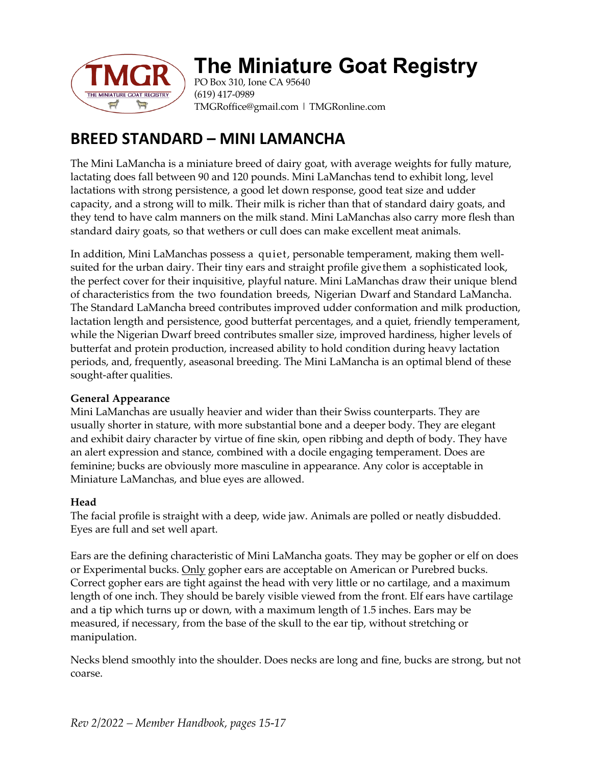

# **The Miniature Goat Registry**

PO Box 310, Ione CA 95640 (619) 417-0989 TMGRoffice@gmail.com | TMGRonline.com

# **BREED STANDARD – MINI LAMANCHA**

The Mini LaMancha is a miniature breed of dairy goat, with average weights for fully mature, lactating does fall between 90 and 120 pounds. Mini LaManchas tend to exhibit long, level lactations with strong persistence, a good let down response, good teat size and udder capacity, and a strong will to milk. Their milk is richer than that of standard dairy goats, and they tend to have calm manners on the milk stand. Mini LaManchas also carry more flesh than standard dairy goats, so that wethers or cull does can make excellent meat animals.

In addition, Mini LaManchas possess a quiet, personable temperament, making them wellsuited for the urban dairy. Their tiny ears and straight profile give them a sophisticated look, the perfect cover for their inquisitive, playful nature. Mini LaManchas draw their unique blend of characteristics from the two foundation breeds, Nigerian Dwarf and Standard LaMancha. The Standard LaMancha breed contributes improved udder conformation and milk production, lactation length and persistence, good butterfat percentages, and a quiet, friendly temperament, while the Nigerian Dwarf breed contributes smaller size, improved hardiness, higher levels of butterfat and protein production, increased ability to hold condition during heavy lactation periods, and, frequently, aseasonal breeding. The Mini LaMancha is an optimal blend of these sought-after qualities.

# **General Appearance**

Mini LaManchas are usually heavier and wider than their Swiss counterparts. They are usually shorter in stature, with more substantial bone and a deeper body. They are elegant and exhibit dairy character by virtue of fine skin, open ribbing and depth of body. They have an alert expression and stance, combined with a docile engaging temperament. Does are feminine; bucks are obviously more masculine in appearance. Any color is acceptable in Miniature LaManchas, and blue eyes are allowed.

# **Head**

The facial profile is straight with a deep, wide jaw. Animals are polled or neatly disbudded. Eyes are full and set well apart.

Ears are the defining characteristic of Mini LaMancha goats. They may be gopher or elf on does or Experimental bucks. Only gopher ears are acceptable on American or Purebred bucks. Correct gopher ears are tight against the head with very little or no cartilage, and a maximum length of one inch. They should be barely visible viewed from the front. Elf ears have cartilage and a tip which turns up or down, with a maximum length of 1.5 inches. Ears may be measured, if necessary, from the base of the skull to the ear tip, without stretching or manipulation.

Necks blend smoothly into the shoulder. Does necks are long and fine, bucks are strong, but not coarse.